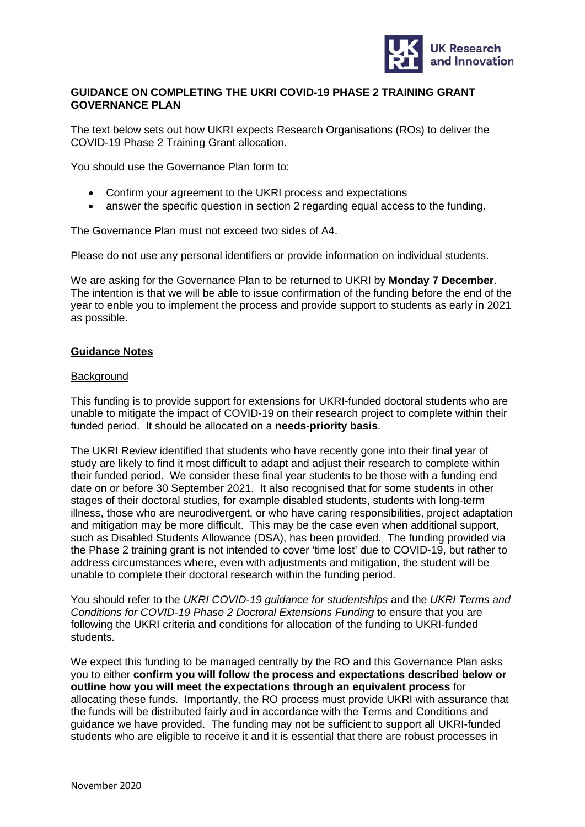

# **GUIDANCE ON COMPLETING THE UKRI COVID-19 PHASE 2 TRAINING GRANT GOVERNANCE PLAN**

The text below sets out how UKRI expects Research Organisations (ROs) to deliver the COVID-19 Phase 2 Training Grant allocation.

You should use the Governance Plan form to:

- Confirm your agreement to the UKRI process and expectations
- answer the specific question in section 2 regarding equal access to the funding.

The Governance Plan must not exceed two sides of A4.

Please do not use any personal identifiers or provide information on individual students.

We are asking for the Governance Plan to be returned to UKRI by **Monday 7 December**. The intention is that we will be able to issue confirmation of the funding before the end of the year to enble you to implement the process and provide support to students as early in 2021 as possible.

## **Guidance Notes**

### **Background**

This funding is to provide support for extensions for UKRI-funded doctoral students who are unable to mitigate the impact of COVID-19 on their research project to complete within their funded period. It should be allocated on a **needs-priority basis**.

The UKRI Review identified that students who have recently gone into their final year of study are likely to find it most difficult to adapt and adjust their research to complete within their funded period. We consider these final year students to be those with a funding end date on or before 30 September 2021. It also recognised that for some students in other stages of their doctoral studies, for example disabled students, students with long-term illness, those who are neurodivergent, or who have caring responsibilities, project adaptation and mitigation may be more difficult. This may be the case even when additional support, such as Disabled Students Allowance (DSA), has been provided. The funding provided via the Phase 2 training grant is not intended to cover 'time lost' due to COVID-19, but rather to address circumstances where, even with adjustments and mitigation, the student will be unable to complete their doctoral research within the funding period.

You should refer to the *UKRI COVID-19 guidance for studentships* and the *UKRI Terms and Conditions for COVID-19 Phase 2 Doctoral Extensions Funding* to ensure that you are following the UKRI criteria and conditions for allocation of the funding to UKRI-funded students.

We expect this funding to be managed centrally by the RO and this Governance Plan asks you to either **confirm you will follow the process and expectations described below or outline how you will meet the expectations through an equivalent process** for allocating these funds. Importantly, the RO process must provide UKRI with assurance that the funds will be distributed fairly and in accordance with the Terms and Conditions and guidance we have provided. The funding may not be sufficient to support all UKRI-funded students who are eligible to receive it and it is essential that there are robust processes in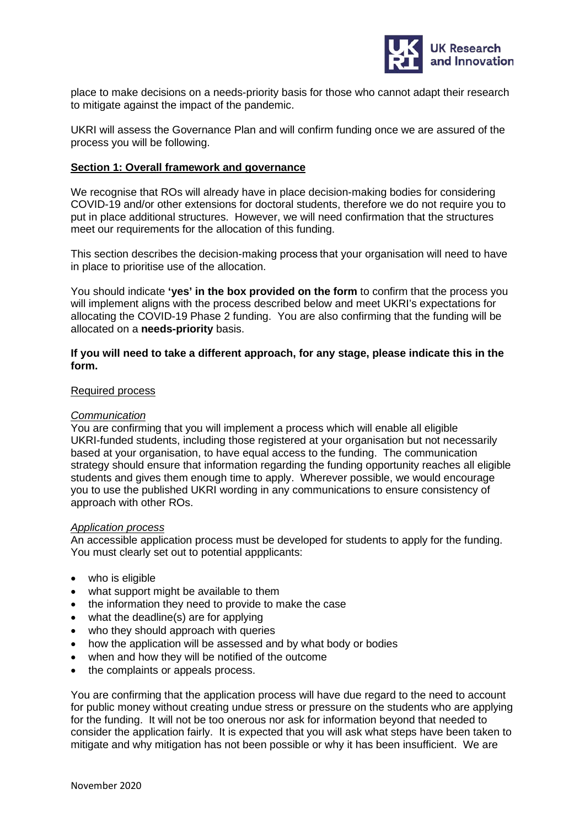

place to make decisions on a needs-priority basis for those who cannot adapt their research to mitigate against the impact of the pandemic.

UKRI will assess the Governance Plan and will confirm funding once we are assured of the process you will be following.

# **Section 1: Overall framework and governance**

We recognise that ROs will already have in place decision-making bodies for considering COVID-19 and/or other extensions for doctoral students, therefore we do not require you to put in place additional structures. However, we will need confirmation that the structures meet our requirements for the allocation of this funding.

This section describes the decision-making process that your organisation will need to have in place to prioritise use of the allocation.

You should indicate **'yes' in the box provided on the form** to confirm that the process you will implement aligns with the process described below and meet UKRI's expectations for allocating the COVID-19 Phase 2 funding. You are also confirming that the funding will be allocated on a **needs-priority** basis.

## **If you will need to take a different approach, for any stage, please indicate this in the form.**

### Required process

#### *Communication*

You are confirming that you will implement a process which will enable all eligible UKRI-funded students, including those registered at your organisation but not necessarily based at your organisation, to have equal access to the funding. The communication strategy should ensure that information regarding the funding opportunity reaches all eligible students and gives them enough time to apply. Wherever possible, we would encourage you to use the published UKRI wording in any communications to ensure consistency of approach with other ROs.

#### *Application process*

An accessible application process must be developed for students to apply for the funding. You must clearly set out to potential appplicants:

- who is eligible
- what support might be available to them
- the information they need to provide to make the case
- what the deadline(s) are for applying
- who they should approach with queries
- how the application will be assessed and by what body or bodies
- when and how they will be notified of the outcome
- the complaints or appeals process.

You are confirming that the application process will have due regard to the need to account for public money without creating undue stress or pressure on the students who are applying for the funding. It will not be too onerous nor ask for information beyond that needed to consider the application fairly. It is expected that you will ask what steps have been taken to mitigate and why mitigation has not been possible or why it has been insufficient. We are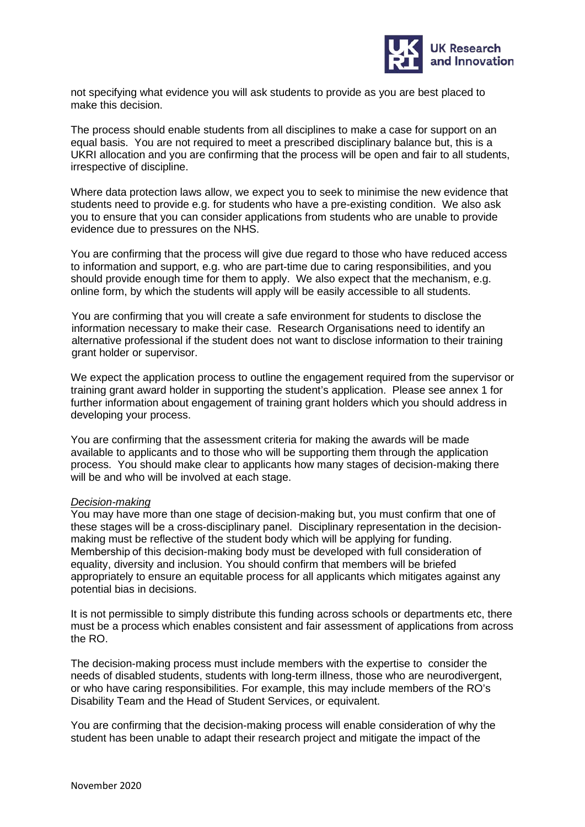

not specifying what evidence you will ask students to provide as you are best placed to make this decision.

The process should enable students from all disciplines to make a case for support on an equal basis. You are not required to meet a prescribed disciplinary balance but, this is a UKRI allocation and you are confirming that the process will be open and fair to all students, irrespective of discipline.

Where data protection laws allow, we expect you to seek to minimise the new evidence that students need to provide e.g. for students who have a pre-existing condition. We also ask you to ensure that you can consider applications from students who are unable to provide evidence due to pressures on the NHS.

You are confirming that the process will give due regard to those who have reduced access to information and support, e.g. who are part-time due to caring responsibilities, and you should provide enough time for them to apply. We also expect that the mechanism, e.g. online form, by which the students will apply will be easily accessible to all students.

You are confirming that you will create a safe environment for students to disclose the information necessary to make their case. Research Organisations need to identify an alternative professional if the student does not want to disclose information to their training grant holder or supervisor.

We expect the application process to outline the engagement required from the supervisor or training grant award holder in supporting the student's application. Please see annex 1 for further information about engagement of training grant holders which you should address in developing your process.

You are confirming that the assessment criteria for making the awards will be made available to applicants and to those who will be supporting them through the application process. You should make clear to applicants how many stages of decision-making there will be and who will be involved at each stage.

# *Decision-making*

You may have more than one stage of decision-making but, you must confirm that one of these stages will be a cross-disciplinary panel. Disciplinary representation in the decisionmaking must be reflective of the student body which will be applying for funding. Membership of this decision-making body must be developed with full consideration of equality, diversity and inclusion. You should confirm that members will be briefed appropriately to ensure an equitable process for all applicants which mitigates against any potential bias in decisions.

It is not permissible to simply distribute this funding across schools or departments etc, there must be a process which enables consistent and fair assessment of applications from across the RO.

The decision-making process must include members with the expertise to consider the needs of disabled students, students with long-term illness, those who are neurodivergent, or who have caring responsibilities. For example, this may include members of the RO's Disability Team and the Head of Student Services, or equivalent.

You are confirming that the decision-making process will enable consideration of why the student has been unable to adapt their research project and mitigate the impact of the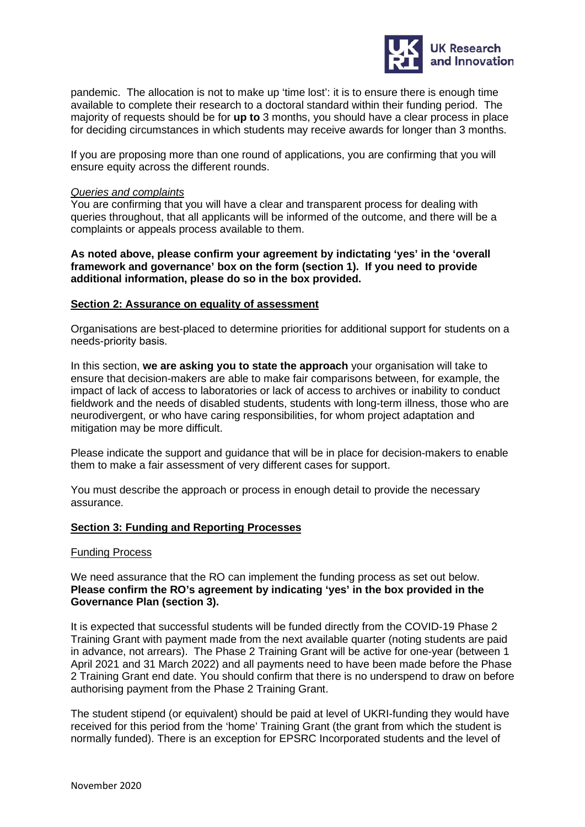

pandemic. The allocation is not to make up 'time lost': it is to ensure there is enough time available to complete their research to a doctoral standard within their funding period. The majority of requests should be for **up to** 3 months, you should have a clear process in place for deciding circumstances in which students may receive awards for longer than 3 months.

If you are proposing more than one round of applications, you are confirming that you will ensure equity across the different rounds.

# *Queries and complaints*

You are confirming that you will have a clear and transparent process for dealing with queries throughout, that all applicants will be informed of the outcome, and there will be a complaints or appeals process available to them.

**As noted above, please confirm your agreement by indictating 'yes' in the 'overall framework and governance' box on the form (section 1). If you need to provide additional information, please do so in the box provided.** 

## **Section 2: Assurance on equality of assessment**

Organisations are best-placed to determine priorities for additional support for students on a needs-priority basis. 

In this section, **we are asking you to state the approach** your organisation will take to ensure that decision-makers are able to make fair comparisons between, for example, the impact of lack of access to laboratories or lack of access to archives or inability to conduct fieldwork and the needs of disabled students, students with long-term illness, those who are neurodivergent, or who have caring responsibilities, for whom project adaptation and mitigation may be more difficult.

Please indicate the support and guidance that will be in place for decision-makers to enable them to make a fair assessment of very different cases for support.

You must describe the approach or process in enough detail to provide the necessary assurance.

### **Section 3: Funding and Reporting Processes**

#### Funding Process

We need assurance that the RO can implement the funding process as set out below. **Please confirm the RO's agreement by indicating 'yes' in the box provided in the Governance Plan (section 3).**

It is expected that successful students will be funded directly from the COVID-19 Phase 2 Training Grant with payment made from the next available quarter (noting students are paid in advance, not arrears). The Phase 2 Training Grant will be active for one-year (between 1 April 2021 and 31 March 2022) and all payments need to have been made before the Phase 2 Training Grant end date. You should confirm that there is no underspend to draw on before authorising payment from the Phase 2 Training Grant.

The student stipend (or equivalent) should be paid at level of UKRI-funding they would have received for this period from the 'home' Training Grant (the grant from which the student is normally funded). There is an exception for EPSRC Incorporated students and the level of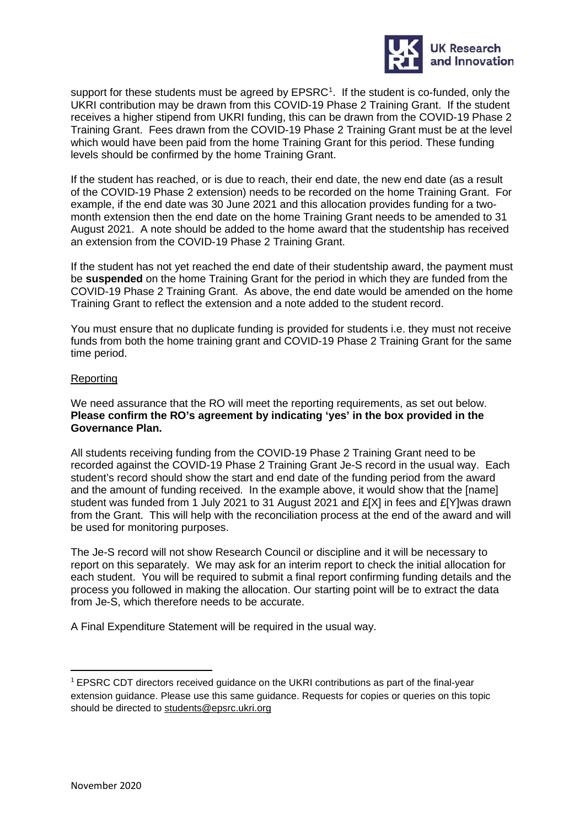

support for these students must be agreed by EPSRC<sup>[1](#page-4-0)</sup>. If the student is co-funded, only the UKRI contribution may be drawn from this COVID-19 Phase 2 Training Grant. If the student receives a higher stipend from UKRI funding, this can be drawn from the COVID-19 Phase 2 Training Grant. Fees drawn from the COVID-19 Phase 2 Training Grant must be at the level which would have been paid from the home Training Grant for this period. These funding levels should be confirmed by the home Training Grant.

If the student has reached, or is due to reach, their end date, the new end date (as a result of the COVID-19 Phase 2 extension) needs to be recorded on the home Training Grant. For example, if the end date was 30 June 2021 and this allocation provides funding for a twomonth extension then the end date on the home Training Grant needs to be amended to 31 August 2021. A note should be added to the home award that the studentship has received an extension from the COVID-19 Phase 2 Training Grant.

If the student has not yet reached the end date of their studentship award, the payment must be **suspended** on the home Training Grant for the period in which they are funded from the COVID-19 Phase 2 Training Grant. As above, the end date would be amended on the home Training Grant to reflect the extension and a note added to the student record.

You must ensure that no duplicate funding is provided for students i.e. they must not receive funds from both the home training grant and COVID-19 Phase 2 Training Grant for the same time period.

## Reporting

We need assurance that the RO will meet the reporting requirements, as set out below. **Please confirm the RO's agreement by indicating 'yes' in the box provided in the Governance Plan.**

All students receiving funding from the COVID-19 Phase 2 Training Grant need to be recorded against the COVID-19 Phase 2 Training Grant Je-S record in the usual way. Each student's record should show the start and end date of the funding period from the award and the amount of funding received. In the example above, it would show that the [name] student was funded from 1 July 2021 to 31 August 2021 and £[X] in fees and £[Y]was drawn from the Grant. This will help with the reconciliation process at the end of the award and will be used for monitoring purposes.

The Je-S record will not show Research Council or discipline and it will be necessary to report on this separately. We may ask for an interim report to check the initial allocation for each student. You will be required to submit a final report confirming funding details and the process you followed in making the allocation. Our starting point will be to extract the data from Je-S, which therefore needs to be accurate.

A Final Expenditure Statement will be required in the usual way.

<span id="page-4-0"></span><sup>&</sup>lt;sup>1</sup> EPSRC CDT directors received guidance on the UKRI contributions as part of the final-year extension guidance. Please use this same guidance. Requests for copies or queries on this topic should be directed to [students@epsrc.ukri.org](mailto:students@epsrc.ukri.org)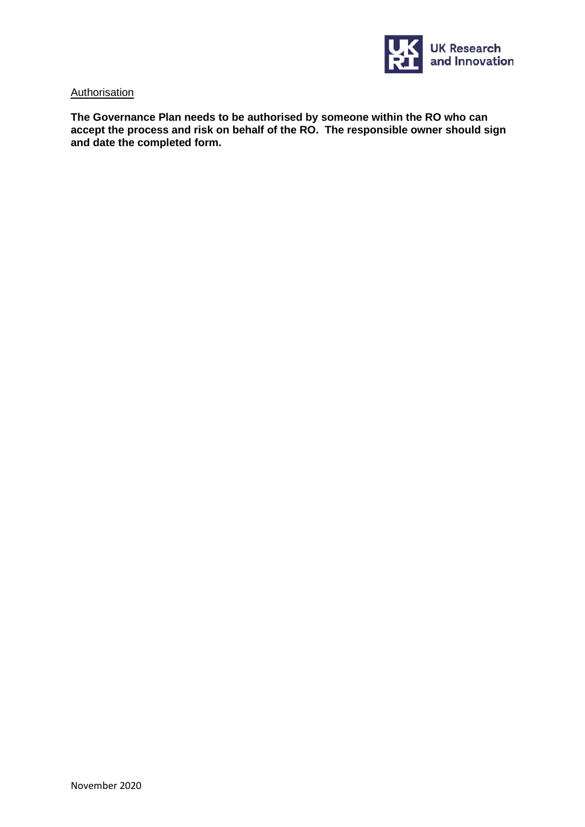

### **Authorisation**

**The Governance Plan needs to be authorised by someone within the RO who can accept the process and risk on behalf of the RO. The responsible owner should sign and date the completed form.**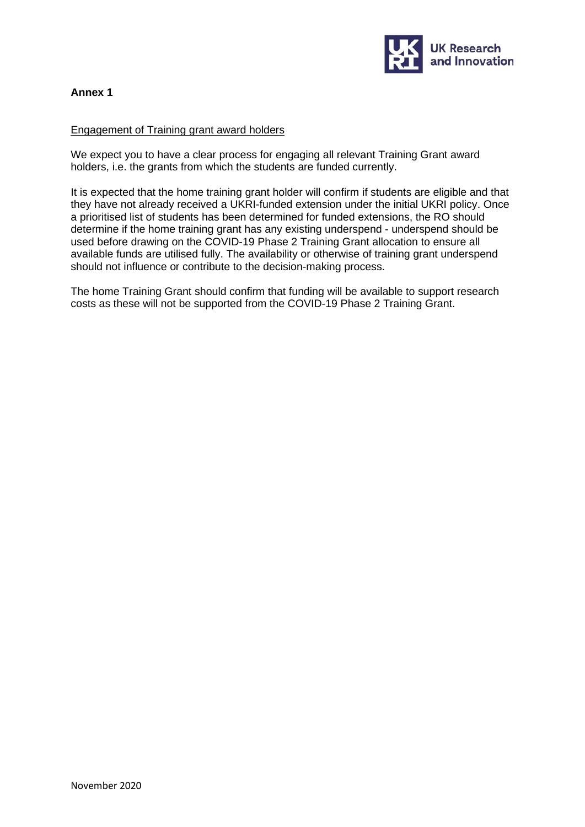

# **Annex 1**

## Engagement of Training grant award holders

We expect you to have a clear process for engaging all relevant Training Grant award holders, i.e. the grants from which the students are funded currently.

It is expected that the home training grant holder will confirm if students are eligible and that they have not already received a UKRI-funded extension under the initial UKRI policy. Once a prioritised list of students has been determined for funded extensions, the RO should determine if the home training grant has any existing underspend - underspend should be used before drawing on the COVID-19 Phase 2 Training Grant allocation to ensure all available funds are utilised fully. The availability or otherwise of training grant underspend should not influence or contribute to the decision-making process.

The home Training Grant should confirm that funding will be available to support research costs as these will not be supported from the COVID-19 Phase 2 Training Grant.